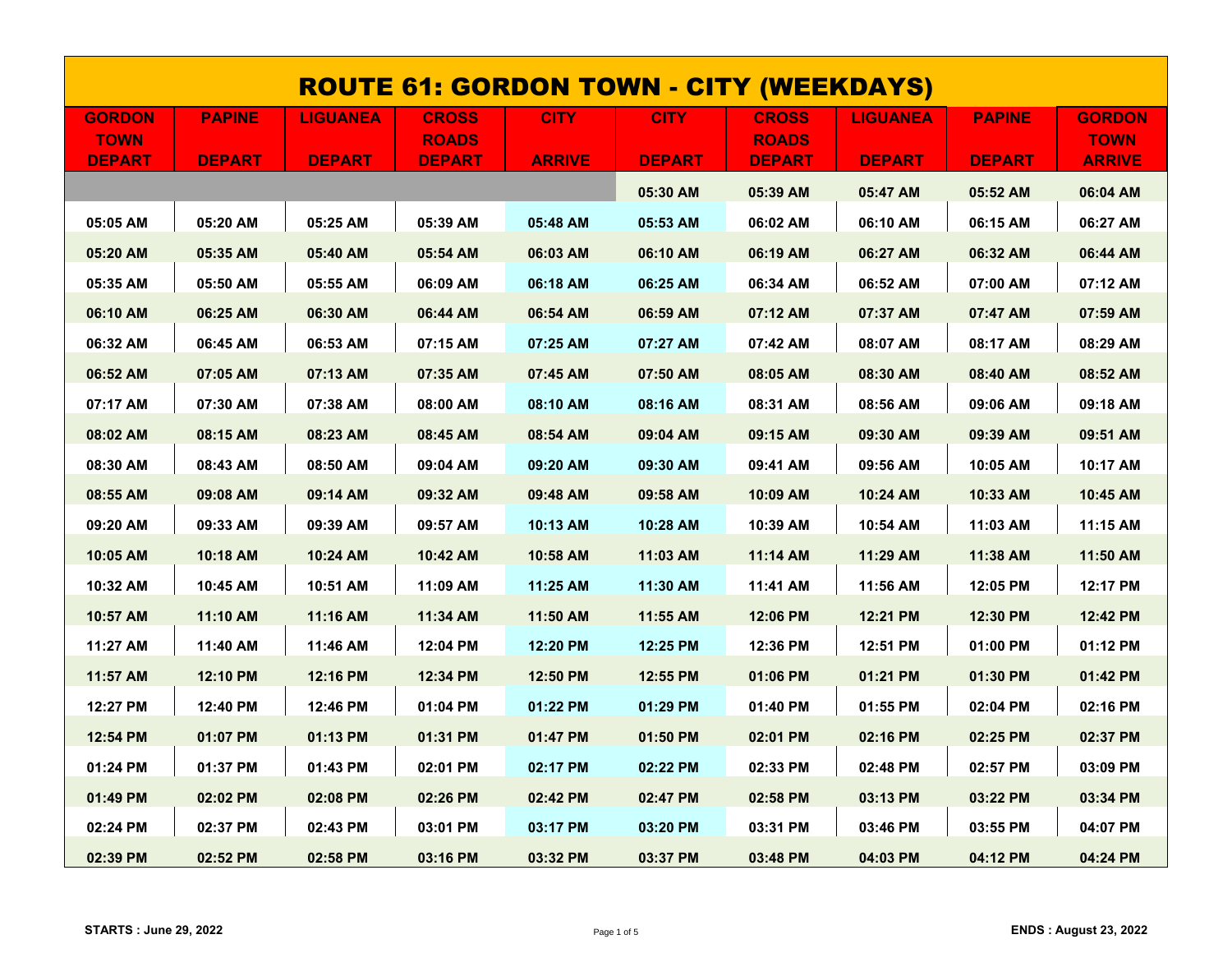| <u>ROUTE 61: GORDON TOWN - CITY (WEEKDAYS)</u> |               |                 |               |               |               |               |                 |               |               |  |
|------------------------------------------------|---------------|-----------------|---------------|---------------|---------------|---------------|-----------------|---------------|---------------|--|
| <b>GORDON</b>                                  | <b>PAPINE</b> | <b>LIGUANEA</b> | <b>CROSS</b>  | <b>CITY</b>   | <b>CITY</b>   | <b>CROSS</b>  | <b>LIGUANEA</b> | <b>PAPINE</b> | <b>GORDON</b> |  |
| <b>TOWN</b>                                    |               |                 | <b>ROADS</b>  |               |               | <b>ROADS</b>  |                 |               | <b>TOWN</b>   |  |
| <b>DEPART</b>                                  | <b>DEPART</b> | <b>DEPART</b>   | <b>DEPART</b> | <b>ARRIVE</b> | <b>DEPART</b> | <b>DEPART</b> | <b>DEPART</b>   | <b>DEPART</b> | <b>ARRIVE</b> |  |
|                                                |               |                 |               |               | 05:30 AM      | 05:39 AM      | 05:47 AM        | 05:52 AM      | 06:04 AM      |  |
| 05:05 AM                                       | 05:20 AM      | 05:25 AM        | 05:39 AM      | 05:48 AM      | 05:53 AM      | 06:02 AM      | 06:10 AM        | 06:15 AM      | 06:27 AM      |  |
| 05:20 AM                                       | 05:35 AM      | 05:40 AM        | 05:54 AM      | 06:03 AM      | 06:10 AM      | 06:19 AM      | 06:27 AM        | 06:32 AM      | 06:44 AM      |  |
| 05:35 AM                                       | 05:50 AM      | 05:55 AM        | 06:09 AM      | 06:18 AM      | 06:25 AM      | 06:34 AM      | 06:52 AM        | 07:00 AM      | 07:12 AM      |  |
| 06:10 AM                                       | 06:25 AM      | 06:30 AM        | 06:44 AM      | 06:54 AM      | 06:59 AM      | 07:12 AM      | 07:37 AM        | 07:47 AM      | 07:59 AM      |  |
| 06:32 AM                                       | 06:45 AM      | 06:53 AM        | 07:15 AM      | 07:25 AM      | 07:27 AM      | 07:42 AM      | 08:07 AM        | 08:17 AM      | 08:29 AM      |  |
| 06:52 AM                                       | 07:05 AM      | 07:13 AM        | 07:35 AM      | 07:45 AM      | 07:50 AM      | 08:05 AM      | 08:30 AM        | 08:40 AM      | 08:52 AM      |  |
| 07:17 AM                                       | 07:30 AM      | 07:38 AM        | 08:00 AM      | 08:10 AM      | 08:16 AM      | 08:31 AM      | 08:56 AM        | 09:06 AM      | 09:18 AM      |  |
| 08:02 AM                                       | 08:15 AM      | 08:23 AM        | 08:45 AM      | 08:54 AM      | 09:04 AM      | 09:15 AM      | 09:30 AM        | 09:39 AM      | 09:51 AM      |  |
| 08:30 AM                                       | 08:43 AM      | 08:50 AM        | 09:04 AM      | 09:20 AM      | 09:30 AM      | 09:41 AM      | 09:56 AM        | 10:05 AM      | 10:17 AM      |  |
| 08:55 AM                                       | 09:08 AM      | 09:14 AM        | 09:32 AM      | 09:48 AM      | 09:58 AM      | 10:09 AM      | 10:24 AM        | 10:33 AM      | 10:45 AM      |  |
| 09:20 AM                                       | 09:33 AM      | 09:39 AM        | 09:57 AM      | 10:13 AM      | 10:28 AM      | 10:39 AM      | 10:54 AM        | 11:03 AM      | 11:15 AM      |  |
| 10:05 AM                                       | 10:18 AM      | 10:24 AM        | 10:42 AM      | 10:58 AM      | 11:03 AM      | 11:14 AM      | 11:29 AM        | 11:38 AM      | 11:50 AM      |  |
| 10:32 AM                                       | 10:45 AM      | 10:51 AM        | 11:09 AM      | 11:25 AM      | 11:30 AM      | 11:41 AM      | 11:56 AM        | 12:05 PM      | 12:17 PM      |  |
| 10:57 AM                                       | 11:10 AM      | 11:16 AM        | 11:34 AM      | 11:50 AM      | 11:55 AM      | 12:06 PM      | 12:21 PM        | 12:30 PM      | 12:42 PM      |  |
| 11:27 AM                                       | 11:40 AM      | 11:46 AM        | 12:04 PM      | 12:20 PM      | 12:25 PM      | 12:36 PM      | 12:51 PM        | 01:00 PM      | 01:12 PM      |  |
| 11:57 AM                                       | 12:10 PM      | 12:16 PM        | 12:34 PM      | 12:50 PM      | 12:55 PM      | 01:06 PM      | 01:21 PM        | 01:30 PM      | 01:42 PM      |  |
| 12:27 PM                                       | 12:40 PM      | 12:46 PM        | 01:04 PM      | 01:22 PM      | 01:29 PM      | 01:40 PM      | 01:55 PM        | 02:04 PM      | 02:16 PM      |  |
| 12:54 PM                                       | 01:07 PM      | 01:13 PM        | 01:31 PM      | 01:47 PM      | 01:50 PM      | 02:01 PM      | 02:16 PM        | 02:25 PM      | 02:37 PM      |  |
| 01:24 PM                                       | 01:37 PM      | 01:43 PM        | 02:01 PM      | 02:17 PM      | 02:22 PM      | 02:33 PM      | 02:48 PM        | 02:57 PM      | 03:09 PM      |  |
| 01:49 PM                                       | 02:02 PM      | 02:08 PM        | 02:26 PM      | 02:42 PM      | 02:47 PM      | 02:58 PM      | 03:13 PM        | 03:22 PM      | 03:34 PM      |  |
| 02:24 PM                                       | 02:37 PM      | 02:43 PM        | 03:01 PM      | 03:17 PM      | 03:20 PM      | 03:31 PM      | 03:46 PM        | 03:55 PM      | 04:07 PM      |  |
| 02:39 PM                                       | 02:52 PM      | 02:58 PM        | 03:16 PM      | 03:32 PM      | 03:37 PM      | 03:48 PM      | 04:03 PM        | 04:12 PM      | 04:24 PM      |  |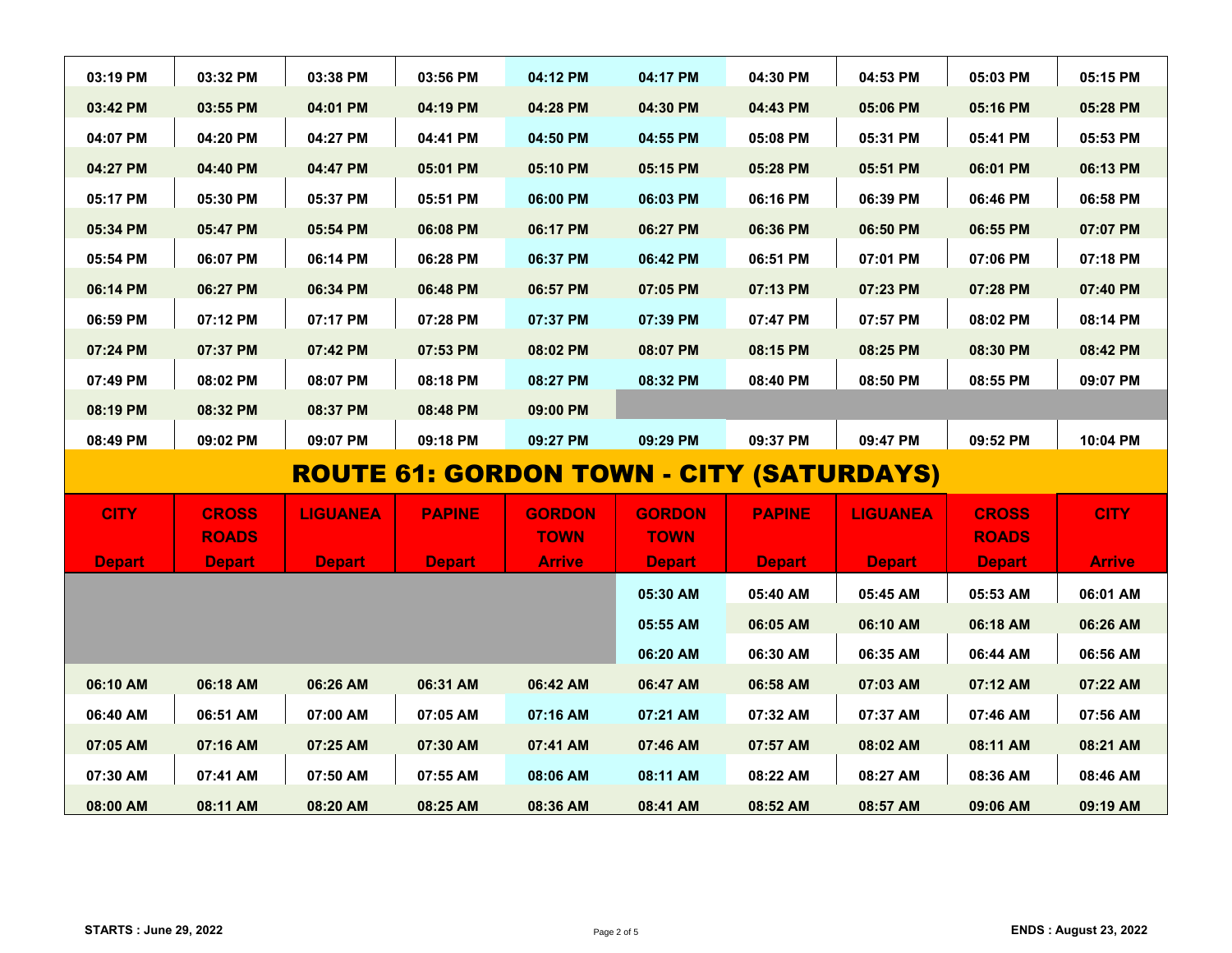| 03:19 PM      | 03:32 PM      | 03:38 PM        | 03:56 PM      | 04:12 PM      | 04:17 PM      | 04:30 PM                                        | 04:53 PM        | 05:03 PM      | 05:15 PM      |
|---------------|---------------|-----------------|---------------|---------------|---------------|-------------------------------------------------|-----------------|---------------|---------------|
| 03:42 PM      | 03:55 PM      | 04:01 PM        | 04:19 PM      | 04:28 PM      | 04:30 PM      | 04:43 PM                                        | 05:06 PM        | 05:16 PM      | 05:28 PM      |
| 04:07 PM      | 04:20 PM      | 04:27 PM        | 04:41 PM      | 04:50 PM      | 04:55 PM      | 05:08 PM                                        | 05:31 PM        | 05:41 PM      | 05:53 PM      |
| 04:27 PM      | 04:40 PM      | 04:47 PM        | 05:01 PM      | 05:10 PM      | 05:15 PM      | 05:28 PM                                        | 05:51 PM        | 06:01 PM      | 06:13 PM      |
| 05:17 PM      | 05:30 PM      | 05:37 PM        | 05:51 PM      | 06:00 PM      | 06:03 PM      | 06:16 PM                                        | 06:39 PM        | 06:46 PM      | 06:58 PM      |
| 05:34 PM      | 05:47 PM      | 05:54 PM        | 06:08 PM      | 06:17 PM      | 06:27 PM      | 06:36 PM                                        | 06:50 PM        | 06:55 PM      | 07:07 PM      |
| 05:54 PM      | 06:07 PM      | 06:14 PM        | 06:28 PM      | 06:37 PM      | 06:42 PM      | 06:51 PM                                        | 07:01 PM        | 07:06 PM      | 07:18 PM      |
| 06:14 PM      | 06:27 PM      | 06:34 PM        | 06:48 PM      | 06:57 PM      | 07:05 PM      | 07:13 PM                                        | 07:23 PM        | 07:28 PM      | 07:40 PM      |
| 06:59 PM      | 07:12 PM      | 07:17 PM        | 07:28 PM      | 07:37 PM      | 07:39 PM      | 07:47 PM                                        | 07:57 PM        | 08:02 PM      | 08:14 PM      |
| 07:24 PM      | 07:37 PM      | 07:42 PM        | 07:53 PM      | 08:02 PM      | 08:07 PM      | 08:15 PM                                        | 08:25 PM        | 08:30 PM      | 08:42 PM      |
| 07:49 PM      | 08:02 PM      | 08:07 PM        | 08:18 PM      | 08:27 PM      | 08:32 PM      | 08:40 PM                                        | 08:50 PM        | 08:55 PM      | 09:07 PM      |
| 08:19 PM      | 08:32 PM      | 08:37 PM        | 08:48 PM      | 09:00 PM      |               |                                                 |                 |               |               |
| 08:49 PM      | 09:02 PM      | 09:07 PM        | 09:18 PM      | 09:27 PM      | 09:29 PM      | 09:37 PM                                        | 09:47 PM        | 09:52 PM      | 10:04 PM      |
|               |               |                 |               |               |               | <b>ROUTE 61: GORDON TOWN - CITY (SATURDAYS)</b> |                 |               |               |
|               |               |                 |               |               |               |                                                 |                 |               |               |
| <b>CITY</b>   | <b>CROSS</b>  | <b>LIGUANEA</b> | <b>PAPINE</b> | <b>GORDON</b> | <b>GORDON</b> | <b>PAPINE</b>                                   | <b>LIGUANEA</b> | <b>CROSS</b>  | <b>CITY</b>   |
|               | <b>ROADS</b>  |                 |               | <b>TOWN</b>   | <b>TOWN</b>   |                                                 |                 | <b>ROADS</b>  |               |
| <b>Depart</b> | <b>Depart</b> | <b>Depart</b>   | <b>Depart</b> | <b>Arrive</b> | <b>Depart</b> | <b>Depart</b>                                   | <b>Depart</b>   | <b>Depart</b> | <b>Arrive</b> |
|               |               |                 |               |               | 05:30 AM      | 05:40 AM                                        | 05:45 AM        | 05:53 AM      | 06:01 AM      |
|               |               |                 |               |               | 05:55 AM      | 06:05 AM                                        | 06:10 AM        | 06:18 AM      | 06:26 AM      |
|               |               |                 |               |               | 06:20 AM      | 06:30 AM                                        | 06:35 AM        | 06:44 AM      | 06:56 AM      |
| 06:10 AM      | 06:18 AM      | 06:26 AM        | 06:31 AM      | 06:42 AM      | 06:47 AM      | 06:58 AM                                        | 07:03 AM        | 07:12 AM      | 07:22 AM      |
| 06:40 AM      | 06:51 AM      | 07:00 AM        | 07:05 AM      | 07:16 AM      | 07:21 AM      | 07:32 AM                                        | 07:37 AM        | 07:46 AM      | 07:56 AM      |
| 07:05 AM      | 07:16 AM      | 07:25 AM        | 07:30 AM      | 07:41 AM      | 07:46 AM      | 07:57 AM                                        | 08:02 AM        | 08:11 AM      | 08:21 AM      |
| 07:30 AM      | 07:41 AM      | 07:50 AM        | 07:55 AM      | 08:06 AM      | 08:11 AM      | 08:22 AM                                        | 08:27 AM        | 08:36 AM      | 08:46 AM      |
| 08:00 AM      | 08:11 AM      | 08:20 AM        | 08:25 AM      | 08:36 AM      | 08:41 AM      | 08:52 AM                                        | 08:57 AM        | 09:06 AM      | 09:19 AM      |
|               |               |                 |               |               |               |                                                 |                 |               |               |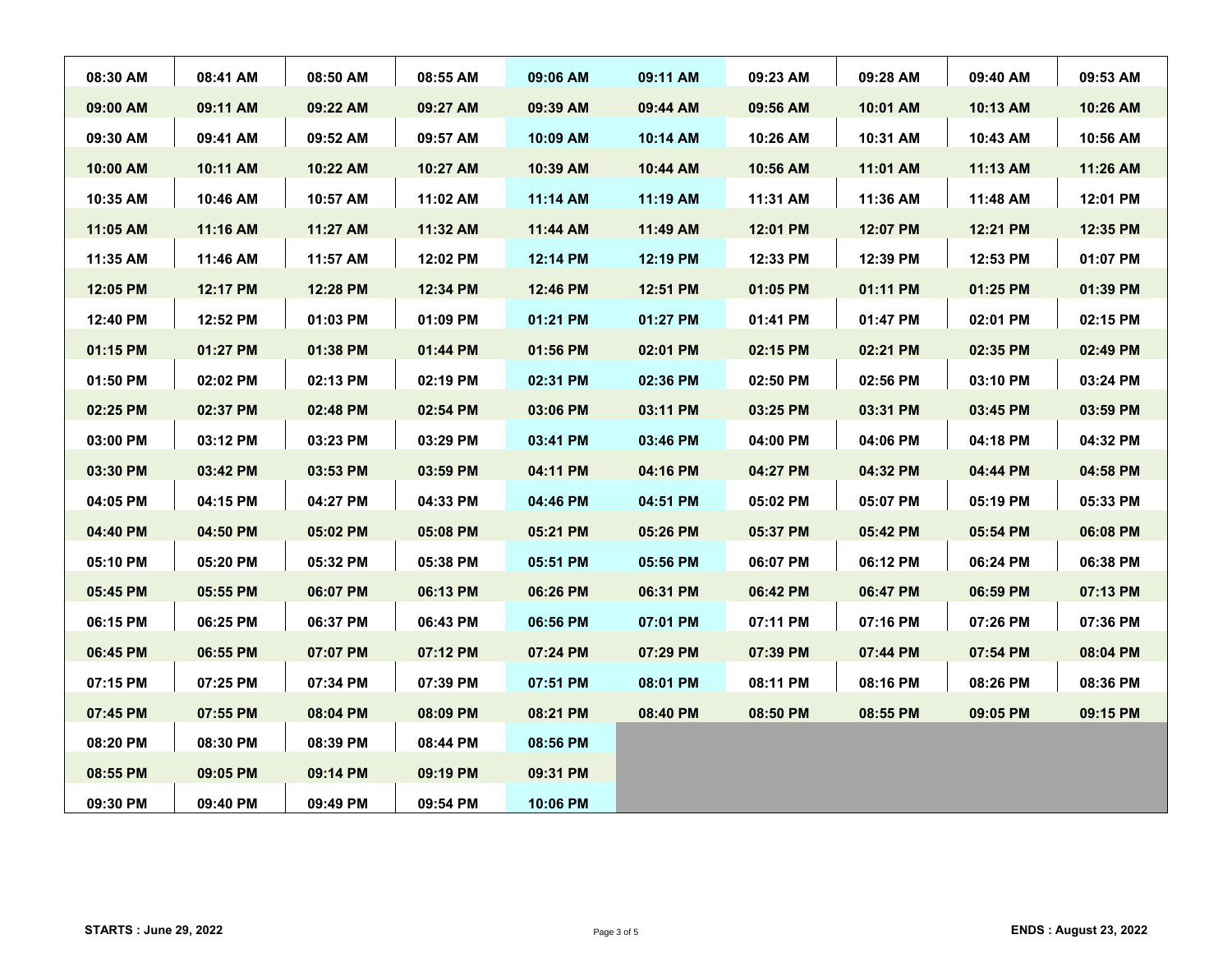| 08:30 AM | 08:41 AM | 08:50 AM | 08:55 AM | 09:06 AM | 09:11 AM | 09:23 AM | 09:28 AM | 09:40 AM | 09:53 AM |
|----------|----------|----------|----------|----------|----------|----------|----------|----------|----------|
| 09:00 AM | 09:11 AM | 09:22 AM | 09:27 AM | 09:39 AM | 09:44 AM | 09:56 AM | 10:01 AM | 10:13 AM | 10:26 AM |
| 09:30 AM | 09:41 AM | 09:52 AM | 09:57 AM | 10:09 AM | 10:14 AM | 10:26 AM | 10:31 AM | 10:43 AM | 10:56 AM |
| 10:00 AM | 10:11 AM | 10:22 AM | 10:27 AM | 10:39 AM | 10:44 AM | 10:56 AM | 11:01 AM | 11:13 AM | 11:26 AM |
| 10:35 AM | 10:46 AM | 10:57 AM | 11:02 AM | 11:14 AM | 11:19 AM | 11:31 AM | 11:36 AM | 11:48 AM | 12:01 PM |
| 11:05 AM | 11:16 AM | 11:27 AM | 11:32 AM | 11:44 AM | 11:49 AM | 12:01 PM | 12:07 PM | 12:21 PM | 12:35 PM |
| 11:35 AM | 11:46 AM | 11:57 AM | 12:02 PM | 12:14 PM | 12:19 PM | 12:33 PM | 12:39 PM | 12:53 PM | 01:07 PM |
| 12:05 PM | 12:17 PM | 12:28 PM | 12:34 PM | 12:46 PM | 12:51 PM | 01:05 PM | 01:11 PM | 01:25 PM | 01:39 PM |
| 12:40 PM | 12:52 PM | 01:03 PM | 01:09 PM | 01:21 PM | 01:27 PM | 01:41 PM | 01:47 PM | 02:01 PM | 02:15 PM |
| 01:15 PM | 01:27 PM | 01:38 PM | 01:44 PM | 01:56 PM | 02:01 PM | 02:15 PM | 02:21 PM | 02:35 PM | 02:49 PM |
| 01:50 PM | 02:02 PM | 02:13 PM | 02:19 PM | 02:31 PM | 02:36 PM | 02:50 PM | 02:56 PM | 03:10 PM | 03:24 PM |
| 02:25 PM | 02:37 PM | 02:48 PM | 02:54 PM | 03:06 PM | 03:11 PM | 03:25 PM | 03:31 PM | 03:45 PM | 03:59 PM |
| 03:00 PM | 03:12 PM | 03:23 PM | 03:29 PM | 03:41 PM | 03:46 PM | 04:00 PM | 04:06 PM | 04:18 PM | 04:32 PM |
| 03:30 PM | 03:42 PM | 03:53 PM | 03:59 PM | 04:11 PM | 04:16 PM | 04:27 PM | 04:32 PM | 04:44 PM | 04:58 PM |
| 04:05 PM | 04:15 PM | 04:27 PM | 04:33 PM | 04:46 PM | 04:51 PM | 05:02 PM | 05:07 PM | 05:19 PM | 05:33 PM |
| 04:40 PM | 04:50 PM | 05:02 PM | 05:08 PM | 05:21 PM | 05:26 PM | 05:37 PM | 05:42 PM | 05:54 PM | 06:08 PM |
| 05:10 PM | 05:20 PM | 05:32 PM | 05:38 PM | 05:51 PM | 05:56 PM | 06:07 PM | 06:12 PM | 06:24 PM | 06:38 PM |
| 05:45 PM | 05:55 PM | 06:07 PM | 06:13 PM | 06:26 PM | 06:31 PM | 06:42 PM | 06:47 PM | 06:59 PM | 07:13 PM |
| 06:15 PM | 06:25 PM | 06:37 PM | 06:43 PM | 06:56 PM | 07:01 PM | 07:11 PM | 07:16 PM | 07:26 PM | 07:36 PM |
| 06:45 PM | 06:55 PM | 07:07 PM | 07:12 PM | 07:24 PM | 07:29 PM | 07:39 PM | 07:44 PM | 07:54 PM | 08:04 PM |
| 07:15 PM | 07:25 PM | 07:34 PM | 07:39 PM | 07:51 PM | 08:01 PM | 08:11 PM | 08:16 PM | 08:26 PM | 08:36 PM |
| 07:45 PM | 07:55 PM | 08:04 PM | 08:09 PM | 08:21 PM | 08:40 PM | 08:50 PM | 08:55 PM | 09:05 PM | 09:15 PM |
| 08:20 PM | 08:30 PM | 08:39 PM | 08:44 PM | 08:56 PM |          |          |          |          |          |
| 08:55 PM | 09:05 PM | 09:14 PM | 09:19 PM | 09:31 PM |          |          |          |          |          |
| 09:30 PM | 09:40 PM | 09:49 PM | 09:54 PM | 10:06 PM |          |          |          |          |          |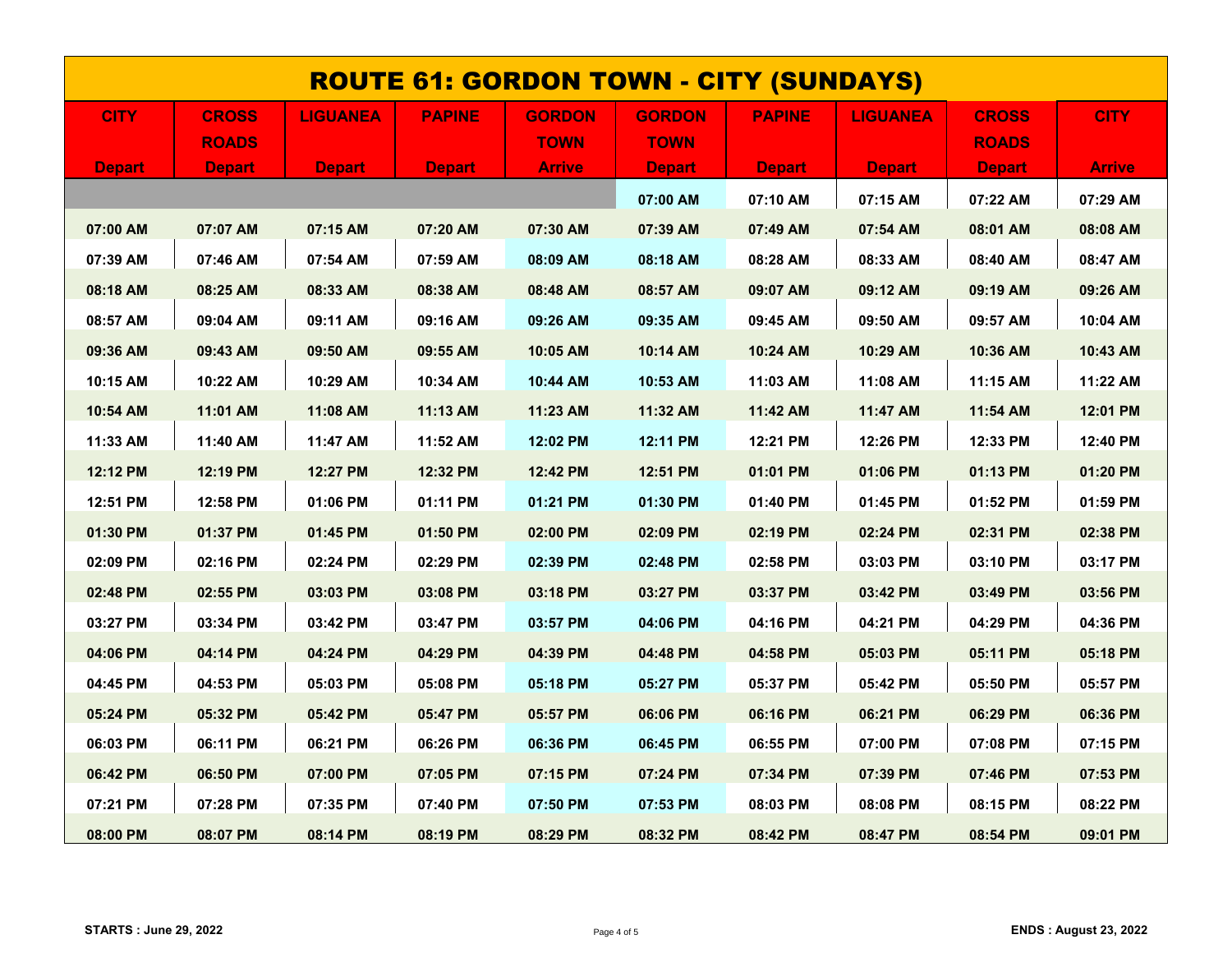| <b>ROUTE 61: GORDON TOWN - CITY (SUNDAYS)</b> |               |                 |               |               |               |               |                 |               |               |
|-----------------------------------------------|---------------|-----------------|---------------|---------------|---------------|---------------|-----------------|---------------|---------------|
| <b>CITY</b>                                   | <b>CROSS</b>  | <b>LIGUANEA</b> | <b>PAPINE</b> | <b>GORDON</b> | <b>GORDON</b> | <b>PAPINE</b> | <b>LIGUANEA</b> | <b>CROSS</b>  | <b>CITY</b>   |
|                                               | <b>ROADS</b>  |                 |               | <b>TOWN</b>   | <b>TOWN</b>   |               |                 | <b>ROADS</b>  |               |
| <b>Depart</b>                                 | <b>Depart</b> | <b>Depart</b>   | <b>Depart</b> | <b>Arrive</b> | <b>Depart</b> | <b>Depart</b> | <b>Depart</b>   | <b>Depart</b> | <b>Arrive</b> |
|                                               |               |                 |               |               | 07:00 AM      | 07:10 AM      | 07:15 AM        | 07:22 AM      | 07:29 AM      |
| 07:00 AM                                      | 07:07 AM      | 07:15 AM        | 07:20 AM      | 07:30 AM      | 07:39 AM      | 07:49 AM      | 07:54 AM        | 08:01 AM      | 08:08 AM      |
| 07:39 AM                                      | 07:46 AM      | 07:54 AM        | 07:59 AM      | 08:09 AM      | 08:18 AM      | 08:28 AM      | 08:33 AM        | 08:40 AM      | 08:47 AM      |
| 08:18 AM                                      | 08:25 AM      | 08:33 AM        | 08:38 AM      | 08:48 AM      | 08:57 AM      | 09:07 AM      | 09:12 AM        | 09:19 AM      | 09:26 AM      |
| 08:57 AM                                      | 09:04 AM      | 09:11 AM        | 09:16 AM      | 09:26 AM      | 09:35 AM      | 09:45 AM      | 09:50 AM        | 09:57 AM      | 10:04 AM      |
| 09:36 AM                                      | 09:43 AM      | 09:50 AM        | 09:55 AM      | 10:05 AM      | 10:14 AM      | 10:24 AM      | 10:29 AM        | 10:36 AM      | 10:43 AM      |
| 10:15 AM                                      | 10:22 AM      | 10:29 AM        | 10:34 AM      | 10:44 AM      | 10:53 AM      | 11:03 AM      | 11:08 AM        | 11:15 AM      | 11:22 AM      |
| 10:54 AM                                      | 11:01 AM      | 11:08 AM        | 11:13 AM      | 11:23 AM      | 11:32 AM      | 11:42 AM      | 11:47 AM        | 11:54 AM      | 12:01 PM      |
| 11:33 AM                                      | 11:40 AM      | 11:47 AM        | 11:52 AM      | 12:02 PM      | 12:11 PM      | 12:21 PM      | 12:26 PM        | 12:33 PM      | 12:40 PM      |
| 12:12 PM                                      | 12:19 PM      | 12:27 PM        | 12:32 PM      | 12:42 PM      | 12:51 PM      | 01:01 PM      | 01:06 PM        | 01:13 PM      | 01:20 PM      |
| 12:51 PM                                      | 12:58 PM      | 01:06 PM        | 01:11 PM      | 01:21 PM      | 01:30 PM      | 01:40 PM      | 01:45 PM        | 01:52 PM      | 01:59 PM      |
| 01:30 PM                                      | 01:37 PM      | 01:45 PM        | 01:50 PM      | 02:00 PM      | 02:09 PM      | 02:19 PM      | 02:24 PM        | 02:31 PM      | 02:38 PM      |
| 02:09 PM                                      | 02:16 PM      | 02:24 PM        | 02:29 PM      | 02:39 PM      | 02:48 PM      | 02:58 PM      | 03:03 PM        | 03:10 PM      | 03:17 PM      |
| 02:48 PM                                      | 02:55 PM      | 03:03 PM        | 03:08 PM      | 03:18 PM      | 03:27 PM      | 03:37 PM      | 03:42 PM        | 03:49 PM      | 03:56 PM      |
| 03:27 PM                                      | 03:34 PM      | 03:42 PM        | 03:47 PM      | 03:57 PM      | 04:06 PM      | 04:16 PM      | 04:21 PM        | 04:29 PM      | 04:36 PM      |
| 04:06 PM                                      | 04:14 PM      | 04:24 PM        | 04:29 PM      | 04:39 PM      | 04:48 PM      | 04:58 PM      | 05:03 PM        | 05:11 PM      | 05:18 PM      |
| 04:45 PM                                      | 04:53 PM      | 05:03 PM        | 05:08 PM      | 05:18 PM      | 05:27 PM      | 05:37 PM      | 05:42 PM        | 05:50 PM      | 05:57 PM      |
| 05:24 PM                                      | 05:32 PM      | 05:42 PM        | 05:47 PM      | 05:57 PM      | 06:06 PM      | 06:16 PM      | 06:21 PM        | 06:29 PM      | 06:36 PM      |
| 06:03 PM                                      | 06:11 PM      | 06:21 PM        | 06:26 PM      | 06:36 PM      | 06:45 PM      | 06:55 PM      | 07:00 PM        | 07:08 PM      | 07:15 PM      |
| 06:42 PM                                      | 06:50 PM      | 07:00 PM        | 07:05 PM      | 07:15 PM      | 07:24 PM      | 07:34 PM      | 07:39 PM        | 07:46 PM      | 07:53 PM      |
| 07:21 PM                                      | 07:28 PM      | 07:35 PM        | 07:40 PM      | 07:50 PM      | 07:53 PM      | 08:03 PM      | 08:08 PM        | 08:15 PM      | 08:22 PM      |
| 08:00 PM                                      | 08:07 PM      | 08:14 PM        | 08:19 PM      | 08:29 PM      | 08:32 PM      | 08:42 PM      | 08:47 PM        | 08:54 PM      | 09:01 PM      |